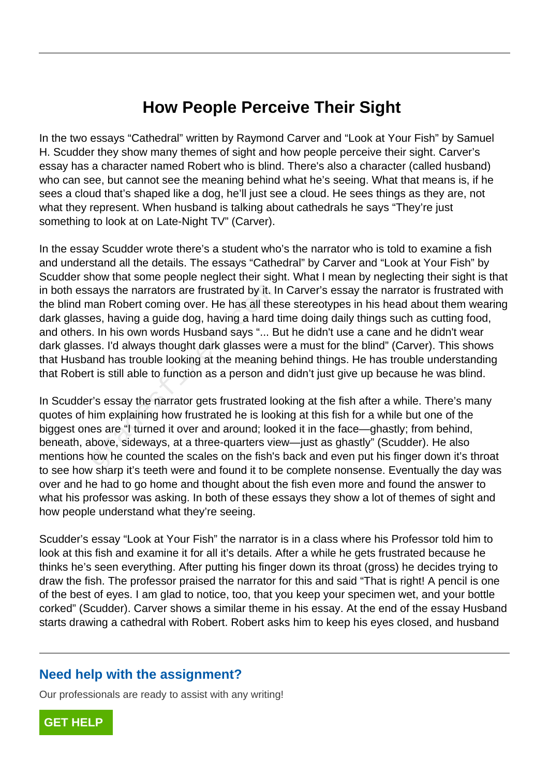## **How People Perceive Their Sight**

In the two essays "Cathedral" written by Raymond Carver and "Look at Your Fish" by Samuel H. Scudder they show many themes of sight and how people perceive their sight. Carver's essay has a character named Robert who is blind. There's also a character (called husband) who can see, but cannot see the meaning behind what he's seeing. What that means is, if he sees a cloud that's shaped like a dog, he'll just see a cloud. He sees things as they are, not what they represent. When husband is talking about cathedrals he says "They're just something to look at on Late-Night TV" (Carver).

In the essay Scudder wrote there's a student who's the narrator who is told to examine a fish and understand all the details. The essays "Cathedral" by Carver and "Look at Your Fish" by Scudder show that some people neglect their sight. What I mean by neglecting their sight is that in both essays the narrators are frustrated by it. In Carver's essay the narrator is frustrated with the blind man Robert coming over. He has all these stereotypes in his head about them wearing dark glasses, having a guide dog, having a hard time doing daily things such as cutting food, and others. In his own words Husband says "... But he didn't use a cane and he didn't wear dark glasses. I'd always thought dark glasses were a must for the blind" (Carver). This shows that Husband has trouble looking at the meaning behind things. He has trouble understanding that Robert is still able to function as a person and didn't just give up because he was blind. says the narrators are frustrated by it. In<br>the man Robert coming over. He has all the<br>es, having a guide dog, having a hard is. In his own words Husband says "... B<br>es. I'd always thought dark glasses we<br>and has trouble l

In Scudder's essay the narrator gets frustrated looking at the fish after a while. There's many quotes of him explaining how frustrated he is looking at this fish for a while but one of the biggest ones are "I turned it over and around; looked it in the face—ghastly; from behind, beneath, above, sideways, at a three-quarters view—just as ghastly" (Scudder). He also mentions how he counted the scales on the fish's back and even put his finger down it's throat to see how sharp it's teeth were and found it to be complete nonsense. Eventually the day was over and he had to go home and thought about the fish even more and found the answer to what his professor was asking. In both of these essays they show a lot of themes of sight and how people understand what they're seeing.

Scudder's essay "Look at Your Fish" the narrator is in a class where his Professor told him to look at this fish and examine it for all it's details. After a while he gets frustrated because he thinks he's seen everything. After putting his finger down its throat (gross) he decides trying to draw the fish. The professor praised the narrator for this and said "That is right! A pencil is one of the best of eyes. I am glad to notice, too, that you keep your specimen wet, and your bottle corked" (Scudder). Carver shows a similar theme in his essay. At the end of the essay Husband starts drawing a cathedral with Robert. Robert asks him to keep his eyes closed, and husband

## **Need help with the assignment?**

Our professionals are ready to assist with any writing!